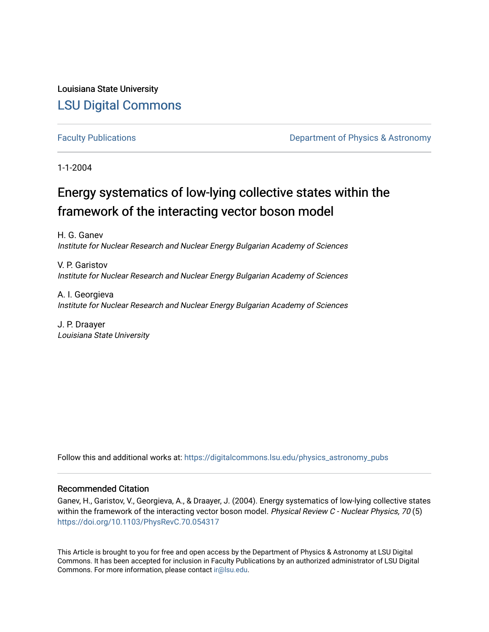# Louisiana State University [LSU Digital Commons](https://digitalcommons.lsu.edu/)

[Faculty Publications](https://digitalcommons.lsu.edu/physics_astronomy_pubs) **Exercise 2 and Table 2 and Table 2 and Table 2 and Table 2 and Table 2 and Table 2 and Table 2 and Table 2 and Table 2 and Table 2 and Table 2 and Table 2 and Table 2 and Table 2 and Table 2 and Table** 

1-1-2004

# Energy systematics of low-lying collective states within the framework of the interacting vector boson model

H. G. Ganev Institute for Nuclear Research and Nuclear Energy Bulgarian Academy of Sciences

V. P. Garistov Institute for Nuclear Research and Nuclear Energy Bulgarian Academy of Sciences

A. I. Georgieva Institute for Nuclear Research and Nuclear Energy Bulgarian Academy of Sciences

J. P. Draayer Louisiana State University

Follow this and additional works at: [https://digitalcommons.lsu.edu/physics\\_astronomy\\_pubs](https://digitalcommons.lsu.edu/physics_astronomy_pubs?utm_source=digitalcommons.lsu.edu%2Fphysics_astronomy_pubs%2F1850&utm_medium=PDF&utm_campaign=PDFCoverPages) 

## Recommended Citation

Ganev, H., Garistov, V., Georgieva, A., & Draayer, J. (2004). Energy systematics of low-lying collective states within the framework of the interacting vector boson model. Physical Review C - Nuclear Physics, 70 (5) <https://doi.org/10.1103/PhysRevC.70.054317>

This Article is brought to you for free and open access by the Department of Physics & Astronomy at LSU Digital Commons. It has been accepted for inclusion in Faculty Publications by an authorized administrator of LSU Digital Commons. For more information, please contact [ir@lsu.edu](mailto:ir@lsu.edu).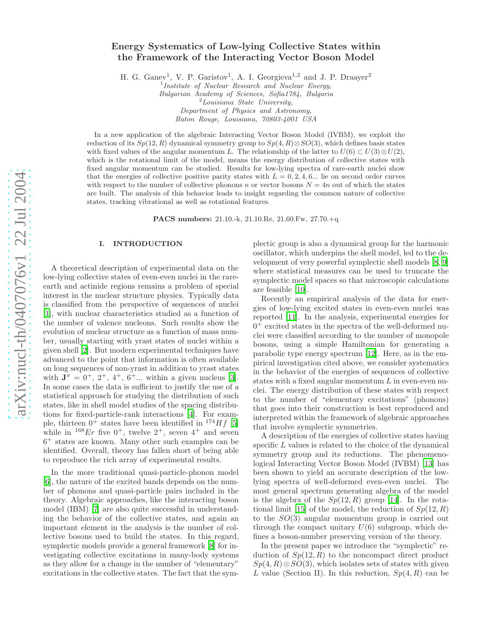## Energy Systematics of Low-lying Collective States within the Framework of the Interacting Vector Boson Model

H. G. Ganev<sup>1</sup>, V. P. Garistov<sup>1</sup>, A. I. Georgieva<sup>1,2</sup> and J. P. Draayer<sup>2</sup>

<sup>1</sup>Institute of Nuclear Research and Nuclear Energy, Bulgarian Academy of Sciences, Sofia1784, Bulgaria  ${}^{2}$ Louisiana State University, Department of Physics and Astronomy, Baton Rouge, Louisiana, 70803-4001 USA

In a new application of the algebraic Interacting Vector Boson Model (IVBM), we exploit the reduction of its  $Sp(12, R)$  dynamical symmetry group to  $Sp(4, R) \otimes SO(3)$ , which defines basis states with fixed values of the angular momentum L. The relationship of the latter to  $U(6) \subset U(3) \otimes U(2)$ , which is the rotational limit of the model, means the energy distribution of collective states with fixed angular momentum can be studied. Results for low-lying spectra of rare-earth nuclei show that the energies of collective positive parity states with  $L = 0, 2, 4, 6...$  lie on second order curves with respect to the number of collective phonons n or vector bosons  $N = 4n$  out of which the states are built. The analysis of this behavior leads to insight regarding the common nature of collective states, tracking vibrational as well as rotational features.

PACS numbers: 21.10.-k, 21.10.Re, 21.60.Fw, 27.70.+q

#### I. INTRODUCTION

A theoretical description of experimental data on the low-lying collective states of even-even nuclei in the rareearth and actinide regions remains a problem of special interest in the nuclear structure physics. Typically data is classified from the perspective of sequences of nuclei [\[1\]](#page-8-0), with nuclear characteristics studied as a function of the number of valence nucleons. Such results show the evolution of nuclear structure as a function of mass number, usually starting with yrast states of nuclei within a given shell [\[2\]](#page-8-1). But modern experimental techniques have advanced to the point that information is often available on long sequences of non-yrast in addition to yrast states with  $J^{\pi} = 0^{+}, 2^{+}, 4^{+}, 6^{+}...$  within a given nucleus [\[3\]](#page-8-2). In some cases the data is sufficient to justify the use of a statistical approach for studying the distribution of such states, like in shell model studies of the spacing distributions for fixed-particle-rank interactions [\[4\]](#page-8-3). For example, thirteen  $0^+$  states have been identified in  $174Hf$  [\[5](#page-8-4)] while in  $168 E r$  five  $0^+$ , twelve  $2^+$ , seven  $4^+$  and seven 6 <sup>+</sup> states are known. Many other such examples can be identified. Overall, theory has fallen short of being able to reproduce the rich array of experimental results.

In the more traditional quasi-particle-phonon model [\[6\]](#page-8-5), the nature of the excited bands depends on the number of phonons and quasi-particle pairs included in the theory. Algebraic approaches, like the interacting boson model (IBM) [\[7](#page-8-6)] are also quite successful in understanding the behavior of the collective states, and again an important element in the analysis is the number of collective bosons used to build the states. In this regard, symplectic models provide a general framework [\[8](#page-8-7)] for investigating collective excitations in many-body systems as they allow for a change in the number of "elementary" excitations in the collective states. The fact that the sym-

plectic group is also a dynamical group for the harmonic oscillator, which underpins the shell model, led to the development of very powerful symplectic shell models [\[8,](#page-8-7) [9](#page-8-8)] where statistical measures can be used to truncate the symplectic model spaces so that microscopic calculations are feasible [\[10\]](#page-8-9).

Recently an empirical analysis of the data for energies of low-lying excited states in even-even nuclei was reported [\[11](#page-8-10)]. In the analysis, experimental energies for  $0^+$  excited states in the spectra of the well-deformed nuclei were classified according to the number of monopole bosons, using a simple Hamiltonian for generating a parabolic type energy spectrum [\[12\]](#page-8-11). Here, as in the empirical investigation cited above, we consider systematics in the behavior of the energies of sequences of collective states with a fixed angular momentum  $L$  in even-even nuclei. The energy distribution of these states with respect to the number of "elementary excitations" (phonons) that goes into their construction is best reproduced and interpreted within the framework of algebraic approaches that involve symplectic symmetries.

A description of the energies of collective states having specific L values is related to the choice of the dynamical symmetry group and its reductions. The phenomenological Interacting Vector Boson Model (IVBM) [\[13\]](#page-8-12) has been shown to yield an accurate description of the lowlying spectra of well-deformed even-even nuclei. The most general spectrum generating algebra of the model is the algebra of the  $Sp(12, R)$  group [\[14](#page-8-13)]. In the rota-tional limit [\[15\]](#page-8-14) of the model, the reduction of  $Sp(12, R)$ to the  $SO(3)$  angular momentum group is carried out through the compact unitary  $U(6)$  subgroup, which defines a boson-number preserving version of the theory.

In the present paper we introduce the "symplectic" reduction of  $Sp(12, R)$  to the noncompact direct product  $Sp(4, R) \otimes SO(3)$ , which isolates sets of states with given L value (Section II). In this reduction,  $Sp(4, R)$  can be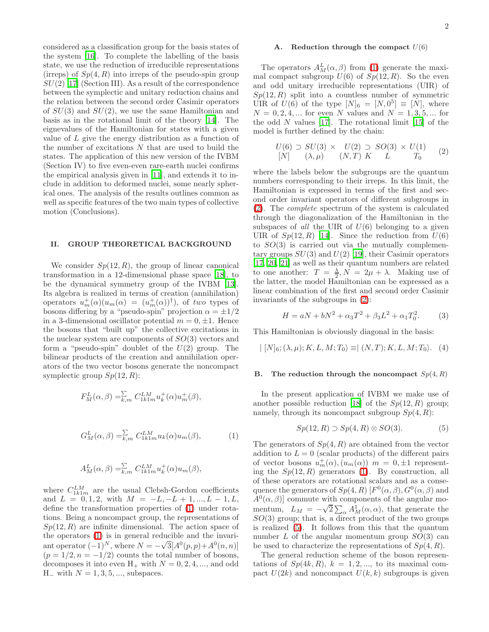considered as a classification group for the basis states of the system [\[16\]](#page-8-15). To complete the labelling of the basis state, we use the reduction of irreducible representations (irreps) of  $Sp(4, R)$  into irreps of the pseudo-spin group  $SU(2)$  [\[17](#page-8-16)] (Section III). As a result of the correspondence between the symplectic and unitary reduction chains and the relation between the second order Casimir operators of  $SU(3)$  and  $SU(2)$ , we use the same Hamiltonian and basis as in the rotational limit of the theory [\[14\]](#page-8-13). The eignevalues of the Hamiltonian for states with a given value of L give the energy distribution as a function of the number of excitations  $N$  that are used to build the states. The application of this new version of the IVBM (Section IV) to five even-even rare-earth nuclei confirms the empirical analysis given in [\[11\]](#page-8-10), and extends it to include in addition to deformed nuclei, some nearly spherical ones. The analysis of the results outlines common as well as specific features of the two main types of collective motion (Conclusions).

#### II. GROUP THEORETICAL BACKGROUND

We consider  $Sp(12, R)$ , the group of linear canonical transformation in a 12-dimensional phase space [\[18\]](#page-8-17), to be the dynamical symmetry group of the IVBM [\[13\]](#page-8-12). Its algebra is realized in terms of creation (annihilation) operators  $u_m^+(\alpha)(u_m(\alpha) = (u_m^+(\alpha))^{\dagger}$ , of two types of bosons differing by a "pseudo-spin" projection  $\alpha = \pm 1/2$ in a 3-dimensional oscillator potential  $m = 0, \pm 1$ . Hence the bosons that "built up" the collective excitations in the nuclear system are components of  $SO(3)$  vectors and form a "pseudo-spin" doublet of the  $U(2)$  group. The bilinear products of the creation and annihilation operators of the two vector bosons generate the noncompact symplectic group  $Sp(12, R)$ :

<span id="page-2-0"></span>
$$
F_M^L(\alpha, \beta) =_{k,m}^{\sum} C_{1k1m}^{LM} u_k^+(\alpha) u_m^+(\beta),
$$
  

$$
G_M^L(\alpha, \beta) =_{k,m}^{\sum} C_{1k1m}^{LM} u_k(\alpha) u_m(\beta),
$$
 (1)

$$
A_M^L(\alpha, \beta) = \sum_{k,m} C_{1k1m}^{LM} u_k^+(\alpha) u_m(\beta),
$$

where  $C_{1k1m}^{LM}$  are the usual Clebsh-Gordon coefficients and  $L = 0, 1, 2$ , with  $M = -L, -L + 1, ..., L - 1, L$ , define the transformation properties of [\(1\)](#page-2-0) under rotations. Being a noncompact group, the representations of  $Sp(12, R)$  are infinite dimensional. The action space of the operators [\(1\)](#page-2-0) is in general reducible and the invariant operator  $(-1)^N$ , where  $N = -\sqrt{3}[A^0(p, p) + A^0(n, n)]$  $(p = 1/2, n = -1/2)$  counts the total number of bosons, decomposes it into even  $H_+$  with  $N = 0, 2, 4, \dots$ , and odd H<sub>−</sub> with  $N = 1, 3, 5, \dots$ , subspaces.

#### A. Reduction through the compact  $U(6)$

The operators  $A_M^L(\alpha, \beta)$  from [\(1\)](#page-2-0) generate the maximal compact subgroup  $U(6)$  of  $Sp(12, R)$ . So the even and odd unitary irreducible representations (UIR) of  $Sp(12, R)$  split into a countless number of symmetric UIR of  $U(6)$  of the type  $[N]_6 = [N, 0^5] \equiv [N]$ , where  $N = 0, 2, 4, ...$  for even N values and  $N = 1, 3, 5, ...$  for the odd  $N$  values [\[17\]](#page-8-16). The rotational limit [\[15](#page-8-14)] of the model is further defined by the chain:

<span id="page-2-1"></span>
$$
U(6) \supset SU(3) \times U(2) \supset SO(3) \times U(1)
$$
  
\n[N]  $(\lambda,\mu)$   $(N,T) K L$   $T_0$  (2)

where the labels below the subgroups are the quantum numbers corresponding to their irreps. In this limit, the Hamiltonian is expressed in terms of the first and second order invariant operators of different subgroups in [\(2\)](#page-2-1). The complete spectrum of the system is calculated through the diagonalization of the Hamiltonian in the subspaces of all the UIR of  $U(6)$  belonging to a given UIR of  $Sp(12, R)$  [\[14\]](#page-8-13). Since the reduction from  $U(6)$ to  $SO(3)$  is carried out via the mutually complementary groups  $SU(3)$  and  $U(2)$  [\[19\]](#page-8-18), their Casimir operators [\[17,](#page-8-16) [20,](#page-8-19) [21](#page-8-20)] as well as their quantum numbers are related to one another:  $T = \frac{\lambda}{2}$ ,  $N = 2\mu + \lambda$ . Making use of the latter, the model Hamiltonian can be expressed as a linear combination of the first and second order Casimir invariants of the subgroups in [\(2\)](#page-2-1):

<span id="page-2-4"></span><span id="page-2-3"></span>
$$
H = aN + bN^2 + \alpha_3 T^2 + \beta_3 L^2 + \alpha_1 T_0^2.
$$
 (3)

This Hamiltonian is obviously diagonal in the basis:

$$
| [N]_6; (\lambda, \mu); K, L, M; T_0 \rangle \equiv | (N, T); K, L, M; T_0 \rangle. (4)
$$

#### B. The reduction through the noncompact  $Sp(4, R)$

In the present application of IVBM we make use of another possible reduction [\[18](#page-8-17)] of the  $Sp(12, R)$  group; namely, through its noncompact subgroup  $Sp(4, R)$ :

<span id="page-2-2"></span>
$$
Sp(12,R) \supset Sp(4,R) \otimes SO(3). \tag{5}
$$

The generators of  $Sp(4, R)$  are obtained from the vector addition to  $L = 0$  (scalar products) of the different pairs of vector bosons  $u_m^+(\alpha)$ ,  $(u_m(\alpha))$   $m = 0, \pm 1$  representing the  $Sp(12, R)$  generators [\(1\)](#page-2-0). By construction, all of these operators are rotational scalars and as a consequence the generators of  $Sp(4, R)$   $[F<sup>0</sup>(\alpha, \beta), G<sup>0</sup>(\alpha, \beta)$  and  $A^{0}(\alpha,\beta)$  commute with components of the angular momentum,  $L_M = -\sqrt{2} \sum_{\alpha} A_M^1(\alpha, \alpha)$ , that generate the  $SO(3)$  group; that is, a direct product of the two groups is realized [\(5\)](#page-2-2). It follows from this that the quantum number L of the angular momentum group  $SO(3)$  can be used to characterize the representations of  $Sp(4, R)$ .

The general reduction scheme of the boson representations of  $Sp(4k, R)$ ,  $k = 1, 2, \dots$ , to its maximal compact  $U(2k)$  and noncompact  $U(k, k)$  subgroups is given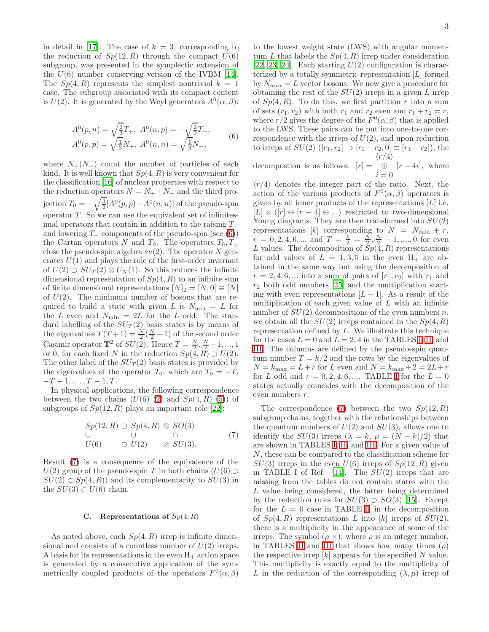<span id="page-3-0"></span>in detail in [\[17\]](#page-8-16). The case of  $k = 3$ , corresponding to the reduction of  $Sp(12, R)$  through the compact  $U(6)$ subgroup, was presented in the symplectic extension of the  $U(6)$  number conserving version of the IVBM [\[14\]](#page-8-13). The  $Sp(4, R)$  represents the simplest nontrivial  $k = 1$ case. The subgroup associated with its compact content is  $U(2)$ . It is generated by the Weyl generators  $A^{0}(\alpha, \beta)$ :

$$
A^{0}(p,n) = \sqrt{\frac{2}{3}}T_{+}, A^{0}(n,p) = -\sqrt{\frac{2}{3}}T_{-},
$$
  
\n
$$
A^{0}(p,p) = \sqrt{\frac{1}{3}}N_{+}, A^{0}(n,n) = \sqrt{\frac{1}{3}}N_{-},
$$
\n(6)

where  $N_{+}(N_{-})$  count the number of particles of each kind. It is well known that  $Sp(4, R)$  is very convenient for the classification [\[16](#page-8-15)] of nuclear properties with respect to the reduction operators  $N = N_{+} + N_{-}$  and the third projection  $T_0 = -\sqrt{\frac{3}{2}} [A^0(p,p) - A^0(n,n)]$  of the pseudo-spin operator  $T$ . So we can use the equivalent set of infinitesimal operators that contain in addition to the raising  $T_+$ and lowering  $T_$  components of the pseudo-spin (see [\(6\)](#page-3-0)) the Cartan operators N and  $T_0$ . The operators  $T_0, T_{\pm}$ close the pseudo-spin algebra  $su(2)$ . The operator N generates  $U(1)$  and plays the role of the first-order invariant of  $U(2) \supset SU_T(2) \otimes U_N(1)$ . So this reduces the infinite dimensional representation of  $Sp(4, R)$  to an infinite sum of finite dimensional representations  $[N]_2 = [N, 0] \equiv [N]$ of  $U(2)$ . The minimum number of bosons that are required to build a state with given L is  $N_{\text{min}} = L$  for the L even and  $N_{\text{min}} = 2L$  for the L odd. The standard labelling of the  $SU_T(2)$  basis states is by means of the eigenvalues  $T(T+1) = \frac{N}{2}(\frac{N}{2}+1)$  of the second order Casimir operator  $\mathbf{T}^2$  of  $SU(2)$ . Hence  $T = \frac{N}{2}, \frac{N}{2} - 1, ..., 1$ or 0, for each fixed N in the reduction  $Sp(4,\overline{R}) \supset U(2)$ . The other label of the  $SU_T(2)$  basis states is provided by the eigenvalues of the operator  $T_0$ , which are  $T_0 = -T$ ,  $-T+1, \ldots, T-1, T$ .

In physical applications, the following correspondence between the two chains  $(U(6)$  [\(2\)](#page-2-1) and  $Sp(4, R)$  [\(5\)](#page-2-2)) of subgroups of  $Sp(12, R)$  plays an important role [\[22\]](#page-8-21):

$$
Sp(12, R) \supset Sp(4, R) \otimes SO(3)
$$
  
\n
$$
U(6) \supset U(2) \otimes SU(3).
$$
\n(7)

Result [\(7\)](#page-3-1) is a consequence of the equivalence of the  $U(2)$  group of the pseudo-spin T in both chains  $(U(6) \supset$  $SU(2) \subset Sp(4, R)$  and its complementarity to  $SU(3)$  in the  $SU(3) \subset U(6)$  chain.

#### C. Representations of  $Sp(4, R)$

As noted above, each  $Sp(4, R)$  irrep is infinite dimensional and consists of a countless number of  $U(2)$  irreps. A basis for its representations in the even  $H_+$  action space is generated by a consecutive application of the symmetrically coupled products of the operators  $F^0(\alpha, \beta)$ 

to the lowest weight state (LWS) with angular momentum L that labels the  $Sp(4, R)$  irrep under consideration [\[22,](#page-8-21) [23](#page-8-22), [24\]](#page-8-23). Each starting  $U(2)$  configuration is characterized by a totally symmetric representation [L] formed by  $N_{min} = L$  vector bosons. We now give a procedure for obtaining the rest of the  $SU(2)$  irreps in a given L irrep of  $Sp(4, R)$ . To do this, we first partition r into a sum of sets  $(r_1, r_2)$  with both  $r_1$  and  $r_2$  even and  $r_1 + r_2 = r$ , where  $r/2$  gives the degree of the  $F^0(\alpha, \beta)$  that is applied to the LWS. These pairs can be put into one-to-one correspondence with the irreps of  $U(2)$ , and upon reduction to irreps of  $SU(2)$  ([ $r_1, r_2$ ]  $\rightarrow$  [ $r_1 - r_2, 0$ ] = [ $r_1 - r_2$ ]), the  $\langle r/4\rangle$ 

decompostion is as follows:  $[r] = \bigoplus [r-4i],$  $i = 0$ where

 $\langle r/4 \rangle$  denotes the integer part of the ratio. Next, the action of the various products of  $F^0(\alpha, \beta)$  operators is given by all inner products of the representations  $[L]$  i.e.  $[L] \otimes (r] \oplus (r-4] \oplus ...)$  restricted to two-dimensional Young diagrams. They are then transformed into  $SU(2)$ representations [k] corresponding to  $N = N_{min} + r$ ,  $r = 0, 2, 4, 6, ...$  and  $T = \frac{k}{2} = \frac{N}{2}, \frac{N}{2} = 1, ..., 0$  for even L values. The decomposition of  $Sp(4, R)$  representations for odd values of  $L = 1, 3, 5$  in the even  $H_+$  are obtained in the same way but using the decomposition of  $r = 2, 4, 6, \dots$  into a sum of pairs of  $[r_1, r_2]$  with  $r_1$  and  $r_2$  both odd numbers [\[25\]](#page-8-24) and the multiplication starting with even representations  $[L - 1]$ . As a result of the multiplication of each given value of  $L$  with an infinite number of  $SU(2)$  decompositions of the even numbers n, we obtain all the  $SU(2)$  irreps contained in the  $Sp(4, R)$ representation defined by  $L$ . We illustrate this technique for the cases  $L = 0$  and  $L = 2, 4$  in the TABLES [I,](#page-4-0) [II,](#page-4-1) and [III.](#page-4-2) The columns are defined by the pseudo-spin quantum number  $T = k/2$  and the rows by the eigenvalues of  $N = k_{\text{max}} = L + r$  for L even and  $N = k_{\text{max}} + 2 = 2L + r$ for L odd and  $r = 0, 2, 4, 6, \dots$  TABLE [I](#page-4-0) for the  $L = 0$ states actually coincides with the decomposition of the even numbers r.

<span id="page-3-1"></span>The correspondence [\(7\)](#page-3-1) between the two  $Sp(12, R)$ subgroup chains, together with the relationships between the quantum numbers of  $U(2)$  and  $SU(3)$ , allows one to identify the  $SU(3)$  irreps  $(\lambda = k, \mu = (N - k)/2)$  that are shown in TABLES [I,](#page-4-0) [II,](#page-4-1) and [III.](#page-4-2) For a given value of N, these can be compared to the classification scheme for  $SU(3)$  irreps in the even  $U(6)$  irreps of  $Sp(12, R)$  given in TABLE I of Ref. [\[14\]](#page-8-13). The  $SU(2)$  irreps that are missing from the tables do not contain states with the L value being considered, the latter being determined by the reduction rules for  $SU(3) \supset SO(3)$  [\[15](#page-8-14)]. Except for the  $L = 0$  case in TABLE [I,](#page-4-0) in the decomposition of  $Sp(4, R)$  representations L into [k] irreps of  $SU(2)$ , there is a multiplicity in the appearance of some of the irreps. The symbol  $(\rho \times)$ , where  $\rho$  is an integer number, in TABLES [II](#page-4-1) and [III](#page-4-2) that shows how many times  $(\rho)$ the respective irrep  $[k]$  appears for the specified N value. This multiplicity is exactly equal to the multiplicity of L in the reduction of the corresponding  $(\lambda, \mu)$  irrep of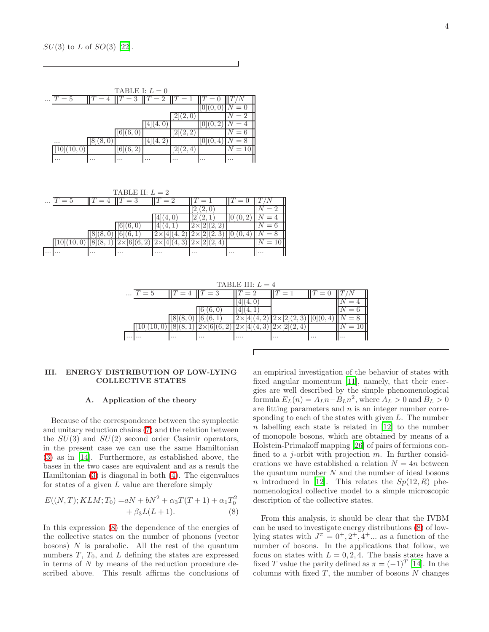<span id="page-4-0"></span>

| TABLE I: $L=0$      |                   |                   |          |                 |                          |          |  |
|---------------------|-------------------|-------------------|----------|-----------------|--------------------------|----------|--|
| $\ldots$ $T =$<br>5 | $\qquad \qquad -$ | $\qquad \qquad =$ | $=2$     | $\mathbb{H}T =$ | $\overline{\phantom{0}}$ |          |  |
|                     |                   |                   |          |                 |                          |          |  |
|                     |                   |                   |          |                 |                          | —        |  |
|                     |                   |                   |          |                 |                          |          |  |
|                     |                   |                   |          |                 |                          |          |  |
| $\cdots$            |                   |                   |          |                 |                          |          |  |
|                     |                   |                   |          |                 |                          |          |  |
| $\cdots$            |                   | $\cdots$          | $\cdots$ | $\cdots$        | $\cdots$                 | $\cdots$ |  |

<span id="page-4-1"></span>

|          | TABLE II: $L = 2$ |                  |          |          |          |          |          |
|----------|-------------------|------------------|----------|----------|----------|----------|----------|
|          | $\ldots$ $T = 5$  | ٠,<br>$=$<br>$=$ |          | $=$      |          | $=$      |          |
|          |                   |                  |          |          |          |          |          |
|          |                   |                  |          |          |          |          |          |
|          |                   |                  |          |          |          |          |          |
|          |                   |                  |          |          |          |          |          |
|          |                   |                  |          |          |          |          |          |
| $\cdots$ | $\cdots$          | $\cdots$         | $\cdots$ | $\cdots$ | $\cdots$ | $\cdots$ | $\cdots$ |



<span id="page-4-2"></span> $\Gamma$ 

#### III. ENERGY DISTRIBUTION OF LOW-LYING COLLECTIVE STATES

#### A. Application of the theory

Because of the correspondence between the symplectic and unitary reduction chains [\(7\)](#page-3-1) and the relation between the  $SU(3)$  and  $SU(2)$  second order Casimir operators, in the present case we can use the same Hamiltonian [\(3\)](#page-2-3) as in [\[14\]](#page-8-13). Furthermore, as established above, the bases in the two cases are equivalent and as a result the Hamiltonian [\(3\)](#page-2-3) is diagonal in both [\(4\)](#page-2-4). The eigenvalues for states of a given  $L$  value are therefore simply

$$
E((N,T);KLM;T_0) = aN + bN^2 + \alpha_3 T(T+1) + \alpha_1 T_0^2
$$
  
+  $\beta_3 L(L+1).$  (8)

In this expression [\(8\)](#page-4-3) the dependence of the energies of the collective states on the number of phonons (vector bosons)  $N$  is parabolic. All the rest of the quantum numbers  $T$ ,  $T_0$ , and  $L$  defining the states are expressed in terms of  $N$  by means of the reduction procedure described above. This result affirms the conclusions of

an empirical investigation of the behavior of states with fixed angular momentum [\[11](#page-8-10)], namely, that their energies are well described by the simple phenomenological formula  $E_L(n) = A_L n - B_L n^2$ , where  $A_L > 0$  and  $B_L > 0$ are fitting parameters and  $n$  is an integer number corresponding to each of the states with given  $L$ . The number n labelling each state is related in  $[12]$  to the number of monopole bosons, which are obtained by means of a Holstein-Primakoff mapping [\[26](#page-8-25)] of pairs of fermions confined to a j-orbit with projection  $m$ . In further considerations we have established a relation  $N = 4n$  between the quantum number  $N$  and the number of ideal bosons n introduced in [\[12\]](#page-8-11). This relates the  $Sp(12, R)$  phenomenological collective model to a simple microscopic description of the collective states.

<span id="page-4-3"></span>From this analysis, it should be clear that the IVBM can be used to investigate energy distributions [\(8\)](#page-4-3) of lowlying states with  $J^{\pi} = 0^{+}, 2^{+}, 4^{+}...$  as a function of the number of bosons. In the applications that follow, we focus on states with  $L = 0, 2, 4$ . The basis states have a fixed T value the parity defined as  $\pi = (-1)^T [14]$  $\pi = (-1)^T [14]$ . In the columns with fixed  $T$ , the number of bosons  $N$  changes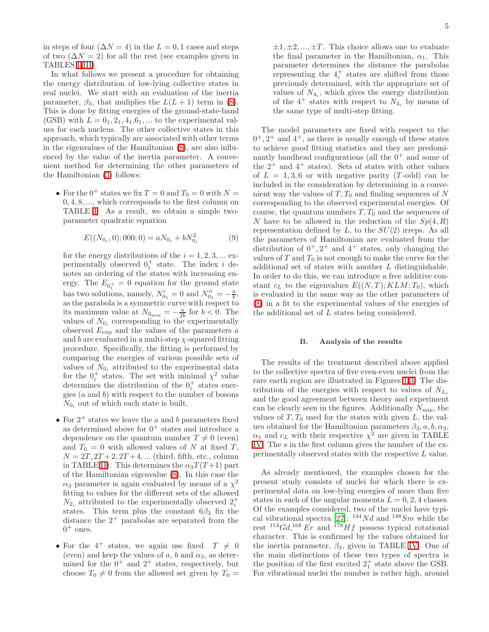in steps of four  $(\Delta N = 4)$  in the  $L = 0, 1$  cases and steps of two  $(\Delta N = 2)$  for all the rest (see examples given in TABLES [I-](#page-4-0)[III\)](#page-4-2).

In what follows we present a procedure for obtaining the energy distribution of low-lying collective states in real nuclei. We start with an evaluation of the inertia parameter,  $\beta_3$ , that muliplies the  $L(L + 1)$  term in [\(8\)](#page-4-3). This is done by fitting energies of the ground-state-band (GSB) with  $L = 0_1, 2_1, 4_1, 6_1, \dots$  to the experimental values for each nucleus. The other collective states in this approach, which typically are associated with other terms in the eigenvalues of the Hamiltonian [\(8\)](#page-4-3), are also influenced by the value of the inertia parameter. A convenient method for determining the other parameters of the Hamiltonian [\(3\)](#page-2-3) follows:

• For the  $0^+$  states we fix  $T = 0$  and  $T_0 = 0$  with  $N =$ 0, 4, 8, ..., which corresponds to the first column on TABLE [I.](#page-4-0) As a result, we obtain a simple twoparameter quadratic equation

<span id="page-5-0"></span>
$$
E((N_{0_i}, 0); 000; 0) = aN_{0_i} + bN_{0_i}^2
$$
\n(9)

for the energy distributions of the  $i = 1, 2, 3, ...$  experimentally observed  $0_i^+$  state. The index i denotes an ordering of the states with increasing energy. The  $E_{0_1^+} = 0$  equation for the ground state has two solutions, namely,  $N'_{0_1} = 0$  and  $N''_{0_1} = -\frac{a}{b}$ , as the parabola is a symmetric curve with respect to its maximum value at  $N_{0_{\text{max}}} = -\frac{a}{2b}$  for  $b < 0$ . The values of  $N_{0_i}$  corresponding to the experimentally observed  $E_{\text{exp}}$  and the values of the parameters  $a$ and b are evaluated in a multi-step  $\chi$ -squared fitting procedure. Specifically, the fitting is performed by comparing the energies of various possible sets of values of  $N_{0i}$  attributed to the experimental data for the  $0_i^+$  states. The set with minimal  $\chi^2$  value determines the distribution of the  $0_i^+$  states energies  $(a \text{ and } b)$  with respect to the number of bosons  $N_{0_i}$  out of which each state is built.

- For  $2^+$  states we leave the a and b parameters fixed as determined above for  $0^+$  states and introduce a dependence on the quantum number  $T \neq 0$  (even) and  $T_0 = 0$  with allowed values of N at fixed T,  $N = 2T, 2T + 2, 2T + 4, ...$  (third, fifth, etc., column in TABLE [II\)](#page-4-1). This determines the  $\alpha_3 T(T+1)$  part of the Hamiltonian eigenvalue [\(8\)](#page-4-3). In this case the  $\alpha_3$  parameter is again evaluated by means of a  $\chi^2$ fitting to values for the different sets of the allowed  $N_{2_i}$  attributed to the experimentally observed  $2^+_i$ states. This term plus the constant  $6\beta_3$  fix the distance the  $2^+$  parabolas are separated from the  $0^+$  ones.
- For the 4<sup>+</sup> states, we again use fixed  $T \neq 0$ (even) and keep the values of a, b and  $\alpha_3$ , as determined for the  $0^+$  and  $2^+$  states, respectively, but choose  $T_0 \neq 0$  from the allowed set given by  $T_0 =$

 $\pm 1, \pm 2, ..., \pm T$ . This choice allows one to evaluate the final parameter in the Hamiltonian,  $\alpha_1$ . This parameter determines the distance the parabolas representing the  $4^+_i$  states are shifted from those previously determined, with the appropriate set of values of  $N_{4_i}$ , which gives the energy distribution of the  $4^+$  states with respect to  $N_{4_i}$  by means of the same type of multi-step fitting.

The model parameters are fixed with respect to the  $0^+, 2^+$  and  $4^+,$  as there is usually enough of these states to achieve good fitting statistics and they are predominantly bandhead configurations (all the  $0^+$  and some of the  $2^+$  and  $4^+$  states). Sets of states with other values of  $L = 1, 3, 6$  or with negative parity (T-odd) can be included in the consideration by determining in a convenient way the values of  $T, T_0$  and finding sequences of N corresponding to the observed experimental energies. Of course, the quantum numbers  $T, T_0$  and the sequences of N have to be allowed in the reduction of the  $Sp(4, R)$ representation defined by  $L$ , to the  $SU(2)$  irreps. As all the parameters of Hamiltonian are evaluated from the distribution of  $0^+, 2^+$  and  $4^+$  states, only changing the values of  $T$  and  $T_0$  is not enough to make the curve for the additional set of states with another L distinguishable. In order to do this, we can introduce a free additive constant  $c_L$  to the eigenvalues  $E((N,T);KLM;T_0)$ , which is evaluated in the same way as the other parameters of [\(8\)](#page-4-3) in a fit to the experimental values of the energies of the additional set of L states being considered.

#### B. Analysis of the results

The results of the treatment described above applied to the collective spectra of five even-even nuclei from the rare earth region are illustrated in Figures [1-](#page-6-0)[3.](#page-7-0) The distribution of the energies with respect to values of  $N_{L_i}$ and the good agreement between theory and experiment can be clearly seen in the figures. Additionally  $N_{\text{min}}$ , the values of  $T$ ,  $T_0$  used for the states with given L, the values obtained for the Hamiltonian parameters  $\beta_3$ ,  $a, b, \alpha_3$ ,  $\alpha_1$  and  $c_L$  with their respective  $\chi^2$  are given in TABLE [IV.](#page-6-1) The s in the first column gives the number of the experimentally observed states with the respective L value.

As already mentioned, the examples chosen for the present study consists of nuclei for which there is experimental data on low-lying energies of more than five states in each of the angular momenta  $L = 0, 2, 4$  classes. Of the examples considered, two of the nuclei have typical vibrational spectra  $[27]$ :  $^{144}Nd$  and  $^{148}Sm$  while the rest  $^{154}Gd,^{168}Er$  and  $^{178}Hf$  possess typical rotational character. This is confirmed by the values obtained for the inertia parameter,  $\beta_3$ , given in TABLE [IV.](#page-6-1) One of the main distinctions of these two types of spectra is the position of the first excited  $2^+_1$  state above the GSB. For vibrational nuclei the number is rather high, around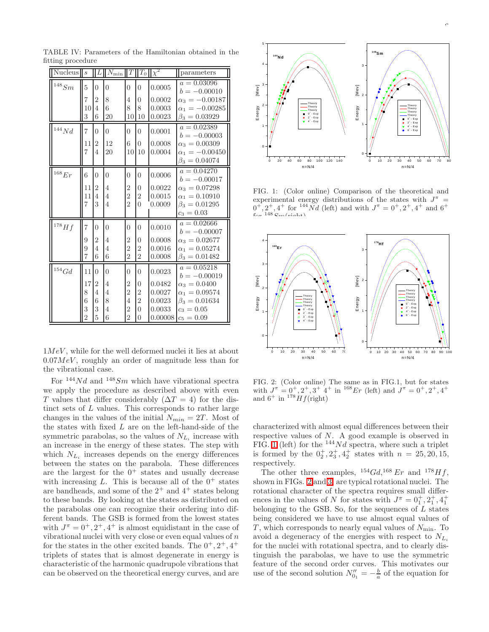| Nucleus     | $\boldsymbol{S}$ |                | $L  N_{\min}  T  $ |                             |                | $T_0 \chi^2$ | parameters                      |
|-------------|------------------|----------------|--------------------|-----------------------------|----------------|--------------|---------------------------------|
| $^{148} Sm$ | 5                | $\theta$       | $\theta$           | $\overline{0}$              | $\theta$       | 0.0005       | $a = 0.03096$<br>$b = -0.00010$ |
|             | $\overline{7}$   | $\overline{2}$ | 8                  | 4                           | $\Omega$       | 0.0002       | $\alpha_3 = -0.00187$           |
|             | 10               | 4              | 6                  | 8                           | 8              | 0.0003       | $\alpha_1 = -0.00285$           |
|             | 3                | 6              | 20                 | 10                          | 10             | 0.0023       | $\beta_3 = 0.03929$             |
| $^{144}Nd$  | $\overline{7}$   | $\overline{0}$ | $\theta$           | $\overline{0}$              | $\theta$       | 0.0001       | $a = 0.02389$<br>$b = -0.00003$ |
|             | 11               | $\overline{2}$ | 12                 | 6                           | $\theta$       | 0.0008       | $\alpha_3 = 0.00309$            |
|             | $\overline{7}$   | 4              | 20                 | 10                          | 10             | 0.0004       | $\alpha_1 = -0.00450$           |
|             |                  |                |                    |                             |                |              | $\beta_3 = 0.04074$             |
| $^{168}Er$  | $\overline{6}$   | $\overline{0}$ | $\theta$           | $\overline{0}$              | $\theta$       | 0.0006       | $a = 0.04270$<br>$b = -0.00017$ |
|             | 11               | $\overline{2}$ | $\overline{4}$     | $\overline{2}$              | $\theta$       | 0.0022       | $\alpha_3 = 0.07298$            |
|             | 11               | 4              | $\overline{4}$     | $\overline{2}$              | $\overline{2}$ | 0.0015       | $\alpha_1 = 0.10910$            |
|             | $\overline{7}$   | 3              | $\overline{4}$     | $\mathcal{D}_{\mathcal{L}}$ | $\theta$       | 0.0009       | $\beta_3 = 0.01295$             |
|             |                  |                |                    |                             |                |              | $c_3 = 0.03$                    |
| 178 Hf      | 7                | $\theta$       | $\theta$           | $\overline{0}$              | $\theta$       | 0.0010       | $a = 0.02666$<br>$b = -0.00007$ |
|             | 9                | $\overline{2}$ | 4                  | $\overline{2}$              | $\theta$       | 0.0008       | $\alpha_3 = 0.02677$            |
|             | 9                | $\overline{4}$ | $\overline{4}$     | $\overline{2}$              | $\overline{2}$ | 0.0016       | $\alpha_1 = 0.05274$            |
|             | $\overline{7}$   | 6              | 6                  | $\overline{2}$              | $\overline{2}$ | 0.0008       | $\beta_3 = 0.01482$             |
| $^{154}Gd$  | 11               | $\overline{0}$ | $\overline{0}$     | $\theta$                    | $\theta$       | 0.0023       | $a = 0.05218$<br>$b = -0.00019$ |
|             | 17               | $\overline{2}$ | 4                  | $\overline{2}$              | $\theta$       | 0.0482       | $\alpha_3 = 0.0400$             |
|             | 8                | 4              | 4                  | $\overline{2}$              | $\overline{2}$ | 0.0027       | $\alpha_1 = 0.09574$            |
|             | 6                | 6              | 8                  | $\overline{4}$              | $\overline{2}$ | 0.0023       | $\beta_3 = 0.01634$             |
|             | 3                | 3              | $\overline{4}$     | $\overline{2}$              | $\overline{0}$ | 0.0033       | $c_3 = 0.05$                    |
|             | $\overline{2}$   | 5              | 6                  | $\overline{2}$              | $\overline{0}$ | 0.00008      | $c_5 = 0.09$                    |

<span id="page-6-1"></span>TABLE IV: Parameters of the Hamiltonian obtained in the fitting procedure

 $1MeV$ , while for the well deformed nuclei it lies at about  $0.07MeV$ , roughly an order of magnitude less than for the vibrational case.

For  $144Nd$  and  $148Sm$  which have vibrational spectra we apply the procedure as described above with even T values that differ considerably  $(\Delta T = 4)$  for the distinct sets of L values. This corresponds to rather large changes in the values of the initial  $N_{min} = 2T$ . Most of the states with fixed L are on the left-hand-side of the symmetric parabolas, so the values of  $N_{L_i}$  increase with an increase in the energy of these states. The step with which  $N_{L_i}$  increases depends on the energy differences between the states on the parabola. These differences are the largest for the  $0^+$  states and usually decrease with increasing L. This is because all of the  $0^+$  states are bandheads, and some of the  $2^+$  and  $4^+$  states belong to these bands. By looking at the states as distributed on the parabolas one can recognize their ordering into different bands. The GSB is formed from the lowest states with  $J^{\pi} = 0^+, 2^+, 4^+$  is almost equidistant in the case of vibrational nuclei with very close or even equal values of  $n$ for the states in the other excited bands. The  $0^+, 2^+, 4^+$ triplets of states that is almost degenerate in energy is characteristic of the harmonic quadrupole vibrations that can be observed on the theoretical energy curves, and are



<span id="page-6-0"></span>FIG. 1: (Color online) Comparison of the theoretical and experimental energy distributions of the states with  $J^{\pi}$  =  $0^+, 2^+, 4^+$  for  $144 \text{ Nd}$  (left) and with  $J^{\pi} = 0^+, 2^+, 4^+$  and  $6^+$  $f_{\text{com}}$  148 $\sigma_{\text{com}}/$  wight)



<span id="page-6-2"></span>FIG. 2: (Color online) The same as in FIG.1, but for states with  $J^{\pi} = 0^+, 2^+, 3^+ 4^+$  in <sup>168</sup> Er (left) and  $J^{\pi} = 0^+, 2^+, 4^+$ and  $6^+$  in  $178 Hf$ (right)

characterized with almost equal differences between their respective values of N. A good example is observed in FIG. [1](#page-6-0) (left) for the  $^{144}Nd$  spectra, where such a triplet is formed by the  $0_2^+, 2_3^+, 4_2^+$  states with  $n = 25, 20, 15$ , respectively.

The other three examples,  $^{154}Gd,^{168}Er$  and  $^{178}Hf,$ shown in FIGs. [2](#page-6-2) and [3,](#page-7-0) are typical rotational nuclei. The rotational character of the spectra requires small differences in the values of N for states with  $J^{\pi} = 0_1^+, 2_1^+, 4_1^+$ belonging to the GSB. So, for the sequences of  $L$  states being considered we have to use almost equal values of T, which corresponds to nearly equal values of  $N_{\text{min}}$ . To avoid a degeneracy of the energies with respect to  $N_{Li}$ for the nuclei with rotational spectra, and to clearly distinguish the parabolas, we have to use the symmetric feature of the second order curves. This motivates our use of the second solution  $N''_{0_1} = -\frac{b}{a}$  of the equation for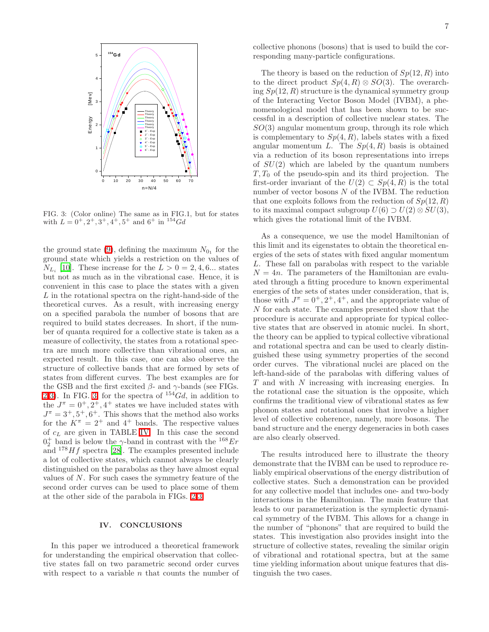

<span id="page-7-0"></span>FIG. 3: (Color online) The same as in FIG.1, but for states with  $L = 0^+, 2^+, 3^+, 4^+, 5^+$  and  $6^+$  in  $154 \text{Gd}$ 

the ground state  $(9)$ , defining the maximum  $N_{0<sub>1</sub>}$  for the ground state which yields a restriction on the values of  $N_{L_i}$  [\[10\]](#page-8-9). These increase for the  $L > 0 = 2, 4, 6...$  states but not as much as in the vibrational case. Hence, it is convenient in this case to place the states with a given L in the rotational spectra on the right-hand-side of the theoretical curves. As a result, with increasing energy on a specified parabola the number of bosons that are required to build states decreases. In short, if the number of quanta required for a collective state is taken as a measure of collectivity, the states from a rotational spectra are much more collective than vibrational ones, an expected result. In this case, one can also observe the structure of collective bands that are formed by sets of states from different curves. The best examples are for the GSB and the first excited  $\beta$ - and  $\gamma$ -bands (see FIGs. [2](#page-6-2)[-3\)](#page-7-0). In FIG. [3,](#page-7-0) for the spectra of  $154Gd$ , in addition to the  $J^{\pi} = 0^+, 2^+, 4^+$  states we have included states with  $J^{\pi} = 3^+, 5^+, 6^+.$  This shows that the method also works for the  $K^{\pi} = 2^{+}$  and  $4^{+}$  bands. The respective values of  $c<sub>L</sub>$  are given in TABLE [IV.](#page-6-1) In this case the second  $0^+_2$  band is below the  $\gamma$ -band in contrast with the  $^{168}Er$ and  $178$  H f spectra [\[28\]](#page-8-27). The examples presented include a lot of collective states, which cannot always be clearly distinguished on the parabolas as they have almost equal values of  $N$ . For such cases the symmetry feature of the second order curves can be used to place some of them at the other side of the parabola in FIGs. [2-](#page-6-2)[3.](#page-7-0)

### IV. CONCLUSIONS

In this paper we introduced a theoretical framework for understanding the empirical observation that collective states fall on two parametric second order curves with respect to a variable  $n$  that counts the number of collective phonons (bosons) that is used to build the corresponding many-particle configurations.

The theory is based on the reduction of  $Sp(12, R)$  into to the direct product  $Sp(4, R) \otimes SO(3)$ . The overarching  $Sp(12, R)$  structure is the dynamical symmetry group of the Interacting Vector Boson Model (IVBM), a phenomenological model that has been shown to be successful in a description of collective nuclear states. The  $SO(3)$  angular momentum group, through its role which is complementary to  $Sp(4, R)$ , labels states with a fixed angular momentum L. The  $Sp(4, R)$  basis is obtained via a reduction of its boson representations into irreps of  $SU(2)$  which are labeled by the quantum numbers  $T, T_0$  of the pseudo-spin and its third projection. The first-order invariant of the  $U(2) \subset Sp(4, R)$  is the total number of vector bosons  $N$  of the IVBM. The reduction that one exploits follows from the reduction of  $Sp(12, R)$ to its maximal compact subgroup  $U(6) \supset U(2) \otimes SU(3)$ , which gives the rotational limit of the IVBM.

As a consequence, we use the model Hamiltonian of this limit and its eigenstates to obtain the theoretical energies of the sets of states with fixed angular momentum L. These fall on parabolas with respect to the variable  $N = 4n$ . The parameters of the Hamiltonian are evaluated through a fitting procedure to known experimental energies of the sets of states under consideration, that is, those with  $J^{\pi} = 0^+, 2^+, 4^+,$  and the appropriate value of N for each state. The examples presented show that the procedure is accurate and appropriate for typical collective states that are observed in atomic nuclei. In short, the theory can be applied to typical collective vibrational and rotational spectra and can be used to clearly distinguished these using symmetry properties of the second order curves. The vibrational nuclei are placed on the left-hand-side of the parabolas with differing values of T and with N increasing with increasing energies. In the rotational case the situation is the opposite, which confirms the traditional view of vibrational states as few phonon states and rotational ones that involve a higher level of collective coherence, namely, more bosons. The band structure and the energy degeneracies in both cases are also clearly observed.

The results introduced here to illustrate the theory demonstrate that the IVBM can be used to reproduce reliably empirical observations of the energy distribution of collective states. Such a demonstration can be provided for any collective model that includes one- and two-body interactions in the Hamiltonian. The main feature that leads to our parameterization is the symplectic dynamical symmetry of the IVBM. This allows for a change in the number of "phonons" that are required to build the states. This investigation also provides insight into the structure of collective states, revealing the similar origin of vibrational and rotational spectra, but at the same time yielding information about unique features that distinguish the two cases.